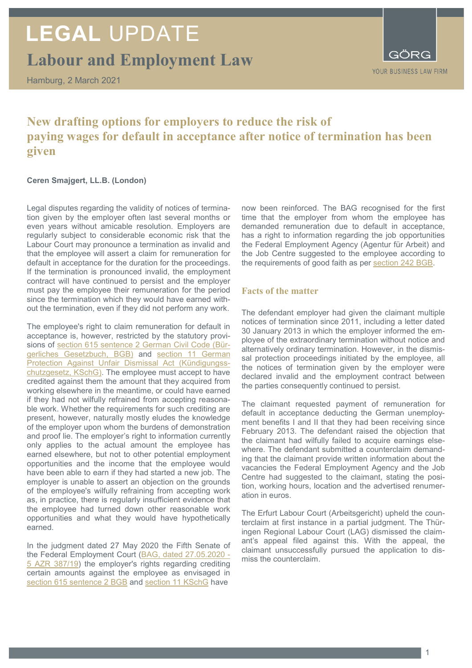# **LEGAL** UPDATE

**Labour and Employment Law**

Hamburg, 2 March 2021

## **New drafting options for employers to reduce the risk of paying wages for default in acceptance after notice of termination has been given**

### **Ceren Smajgert, LL.B. (London)**

Legal disputes regarding the validity of notices of termination given by the employer often last several months or even years without amicable resolution. Employers are regularly subject to considerable economic risk that the Labour Court may pronounce a termination as invalid and that the employee will assert a claim for remuneration for default in acceptance for the duration for the proceedings. If the termination is pronounced invalid, the employment contract will have continued to persist and the employer must pay the employee their remuneration for the period since the termination which they would have earned without the termination, even if they did not perform any work.

The employee's right to claim remuneration for default in acceptance is, however, restricted by the statutory provisions of [section 615 sentence 2 German Civil Code \(Bür](https://www.gesetze-im-internet.de/bgb/__615.html)[gerliches Gesetzbuch, BGB\)](https://www.gesetze-im-internet.de/bgb/__615.html) and [section 11](https://www.gesetze-im-internet.de/kschg/__11.html) German [Protection Against Unfair Dismissal Act \(Kündigungss](https://www.gesetze-im-internet.de/kschg/__11.html)[chutzgesetz, KSchG\).](https://www.gesetze-im-internet.de/kschg/__11.html) The employee must accept to have credited against them the amount that they acquired from working elsewhere in the meantime, or could have earned if they had not wilfully refrained from accepting reasonable work. Whether the requirements for such crediting are present, however, naturally mostly eludes the knowledge of the employer upon whom the burdens of demonstration and proof lie. The employer's right to information currently only applies to the actual amount the employee has earned elsewhere, but not to other potential employment opportunities and the income that the employee would have been able to earn if they had started a new job. The employer is unable to assert an objection on the grounds of the employee's wilfully refraining from accepting work as, in practice, there is regularly insufficient evidence that the employee had turned down other reasonable work opportunities and what they would have hypothetically earned.

In the judgment dated 27 May 2020 the Fifth Senate of the Federal Employment Court [\(BAG, dated 27.05.2020 -](https://juris.bundesarbeitsgericht.de/zweitesformat/bag/2020/2020-07-28/5_AZR_387-19.pdf) [5 AZR 387/19\)](https://juris.bundesarbeitsgericht.de/zweitesformat/bag/2020/2020-07-28/5_AZR_387-19.pdf) the employer's rights regarding crediting certain amounts against the employee as envisaged in [section 615 sentence 2 BGB](https://www.gesetze-im-internet.de/bgb/__615.html) and [section 11 KSchG](https://www.gesetze-im-internet.de/kschg/__11.html) have

now been reinforced. The BAG recognised for the first time that the employer from whom the employee has demanded remuneration due to default in acceptance, has a right to information regarding the job opportunities the Federal Employment Agency (Agentur für Arbeit) and the Job Centre suggested to the employee according to the requirements of good faith as per [section 242 BGB.](https://www.gesetze-im-internet.de/bgb/__242.html)

### **Facts of the matter**

The defendant employer had given the claimant multiple notices of termination since 2011, including a letter dated 30 January 2013 in which the employer informed the employee of the extraordinary termination without notice and alternatively ordinary termination. However, in the dismissal protection proceedings initiated by the employee, all the notices of termination given by the employer were declared invalid and the employment contract between the parties consequently continued to persist.

The claimant requested payment of remuneration for default in acceptance deducting the German unemployment benefits I and II that they had been receiving since February 2013. The defendant raised the objection that the claimant had wilfully failed to acquire earnings elsewhere. The defendant submitted a counterclaim demanding that the claimant provide written information about the vacancies the Federal Employment Agency and the Job Centre had suggested to the claimant, stating the position, working hours, location and the advertised renumeration in euros.

The Erfurt Labour Court (Arbeitsgericht) upheld the counterclaim at first instance in a partial judgment. The Thüringen Regional Labour Court (LAG) dismissed the claimant's appeal filed against this. With the appeal, the claimant unsuccessfully pursued the application to dismiss the counterclaim.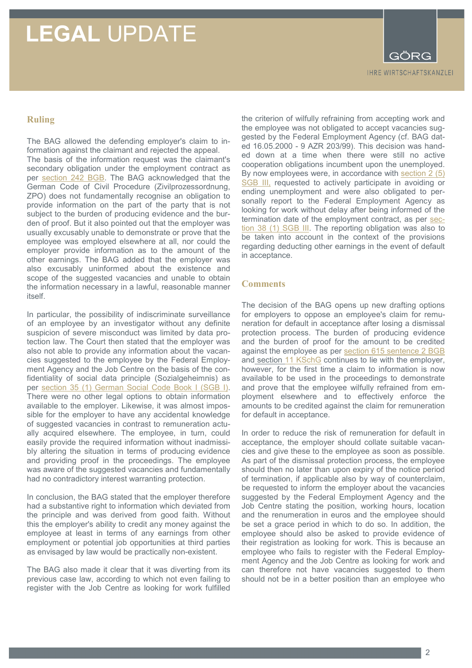# **LEGAL** UPDATE

**IHRE WIRTSCHAFTSKANZLEI** 

### **Ruling**

The BAG allowed the defending employer's claim to information against the claimant and rejected the appeal. The basis of the information request was the claimant's secondary obligation under the employment contract as per [section 242 BGB.](https://www.gesetze-im-internet.de/bgb/__242.html) The BAG acknowledged that the German Code of Civil Procedure (Zivilprozessordnung, ZPO) does not fundamentally recognise an obligation to provide information on the part of the party that is not subject to the burden of producing evidence and the burden of proof. But it also pointed out that the employer was usually excusably unable to demonstrate or prove that the employee was employed elsewhere at all, nor could the employer provide information as to the amount of the other earnings. The BAG added that the employer was also excusably uninformed about the existence and scope of the suggested vacancies and unable to obtain the information necessary in a lawful, reasonable manner itself.

In particular, the possibility of indiscriminate surveillance of an employee by an investigator without any definite suspicion of severe misconduct was limited by data protection law. The Court then stated that the employer was also not able to provide any information about the vacancies suggested to the employee by the Federal Employment Agency and the Job Centre on the basis of the confidentiality of social data principle (Sozialgeheimnis) as per [section 35 \(1\) German Social Code Book I \(SGB I\).](https://www.gesetze-im-internet.de/sgb_1/__35.html) There were no other legal options to obtain information available to the employer. Likewise, it was almost impossible for the employer to have any accidental knowledge of suggested vacancies in contrast to remuneration actually acquired elsewhere. The employee, in turn, could easily provide the required information without inadmissibly altering the situation in terms of producing evidence and providing proof in the proceedings. The employee was aware of the suggested vacancies and fundamentally had no contradictory interest warranting protection.

In conclusion, the BAG stated that the employer therefore had a substantive right to information which deviated from the principle and was derived from good faith. Without this the employer's ability to credit any money against the employee at least in terms of any earnings from other employment or potential job opportunities at third parties as envisaged by law would be practically non-existent.

The BAG also made it clear that it was diverting from its previous case law, according to which not even failing to register with the Job Centre as looking for work fulfilled

the criterion of wilfully refraining from accepting work and the employee was not obligated to accept vacancies suggested by the Federal Employment Agency (cf. BAG dated 16.05.2000 - 9 AZR 203/99). This decision was handed down at a time when there were still no active cooperation obligations incumbent upon the unemployed. By now employees were, in accordance with [section 2 \(5\)](http://www.gesetze-im-internet.de/sgb_3/__2.html)  [SGB III,](http://www.gesetze-im-internet.de/sgb_3/__2.html) requested to actively participate in avoiding or ending unemployment and were also obligated to personally report to the Federal Employment Agency as looking for work without delay after being informed of the termination date of the employment contract, as per [sec](https://www.gesetze-im-internet.de/sgb_3/__38.html#:%7E:text=%C2%A7%2038%20Rechte%20und%20Pflichten%20der%20Ausbildung-%20und,bei%20der%20Agentur%20f%C3%BCr%20Arbeit%20arbeitsuchend%20zu%20melden.)[tion 38 \(1\) SGB III.](https://www.gesetze-im-internet.de/sgb_3/__38.html#:%7E:text=%C2%A7%2038%20Rechte%20und%20Pflichten%20der%20Ausbildung-%20und,bei%20der%20Agentur%20f%C3%BCr%20Arbeit%20arbeitsuchend%20zu%20melden.) The reporting obligation was also to be taken into account in the context of the provisions regarding deducting other earnings in the event of default in acceptance.

### **Comments**

The decision of the BAG opens up new drafting options for employers to oppose an employee's claim for remuneration for default in acceptance after losing a dismissal protection process. The burden of producing evidence and the burden of proof for the amount to be credited against the employee as per section 615 sentence 2 BGB and section 11 KSchG continues to lie with the employer, however, for the first time a claim to information is now available to be used in the proceedings to demonstrate and prove that the employee wilfully refrained from employment elsewhere and to effectively enforce the amounts to be credited against the claim for remuneration for default in acceptance.

In order to reduce the risk of remuneration for default in acceptance, the employer should collate suitable vacancies and give these to the employee as soon as possible. As part of the dismissal protection process, the employee should then no later than upon expiry of the notice period of termination, if applicable also by way of counterclaim, be requested to inform the employer about the vacancies suggested by the Federal Employment Agency and the Job Centre stating the position, working hours, location and the renumeration in euros and the employee should be set a grace period in which to do so. In addition, the employee should also be asked to provide evidence of their registration as looking for work. This is because an employee who fails to register with the Federal Employment Agency and the Job Centre as looking for work and can therefore not have vacancies suggested to them should not be in a better position than an employee who